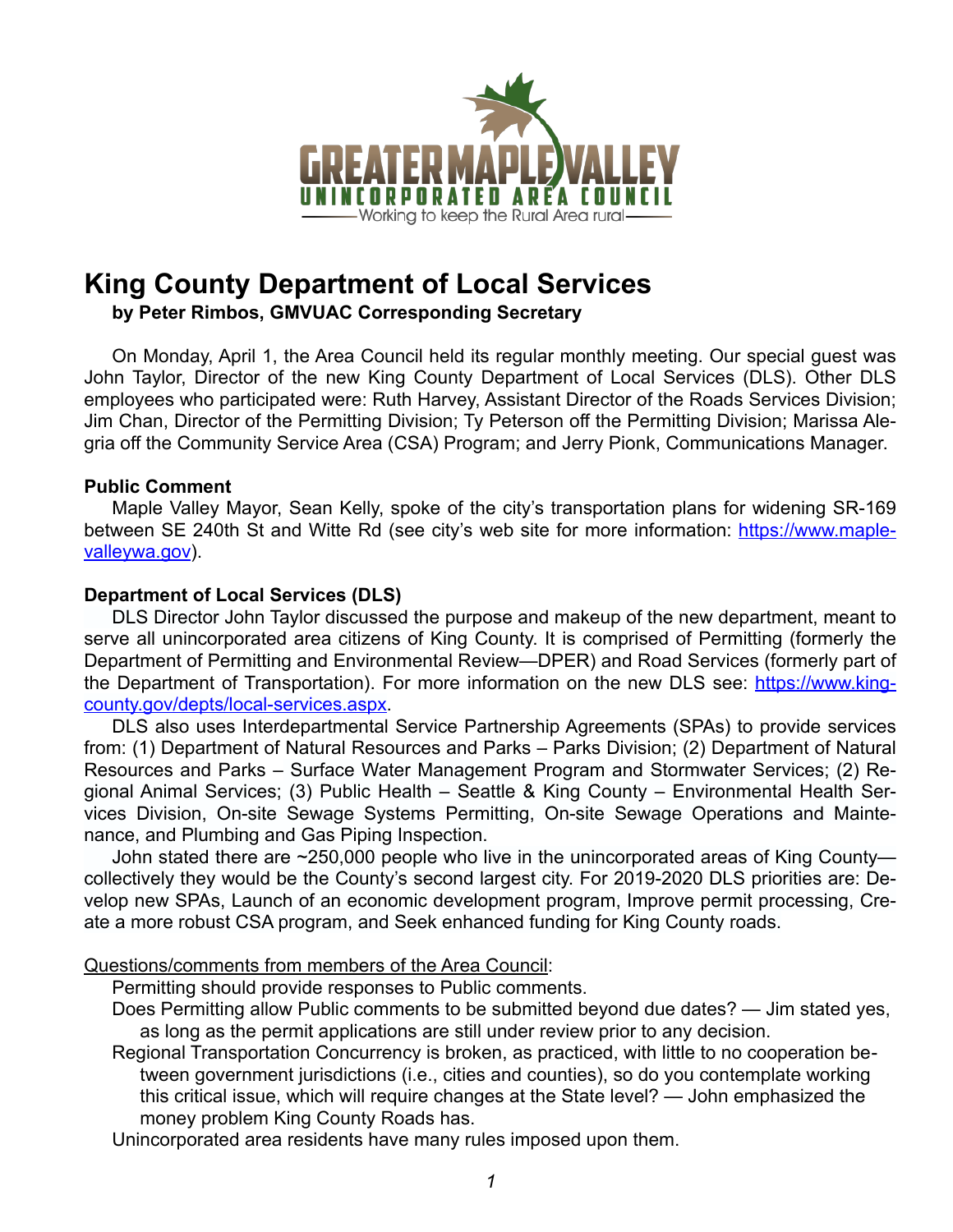

# **King County Department of Local Services**

**by Peter Rimbos, GMVUAC Corresponding Secretary** 

 On Monday, April 1, the Area Council held its regular monthly meeting. Our special guest was John Taylor, Director of the new King County Department of Local Services (DLS). Other DLS employees who participated were: Ruth Harvey, Assistant Director of the Roads Services Division; Jim Chan, Director of the Permitting Division; Ty Peterson off the Permitting Division; Marissa Alegria off the Community Service Area (CSA) Program; and Jerry Pionk, Communications Manager.

## **Public Comment**

 Maple Valley Mayor, Sean Kelly, spoke of the city's transportation plans for widening SR-169 between SE 240th St and Witte Rd (see city's web site for more information: [https://www.maple](https://www.maplevalleywa.gov)[valleywa.gov\)](https://www.maplevalleywa.gov).

## **Department of Local Services (DLS)**

 DLS Director John Taylor discussed the purpose and makeup of the new department, meant to serve all unincorporated area citizens of King County. It is comprised of Permitting (formerly the Department of Permitting and Environmental Review—DPER) and Road Services (formerly part of the Department of Transportation). For more information on the new DLS see: [https://www.king](https://www.kingcounty.gov/depts/local-services.aspx)[county.gov/depts/local-services.aspx.](https://www.kingcounty.gov/depts/local-services.aspx)

 DLS also uses Interdepartmental Service Partnership Agreements (SPAs) to provide services from: (1) Department of Natural Resources and Parks – Parks Division; (2) Department of Natural Resources and Parks – Surface Water Management Program and Stormwater Services; (2) Regional Animal Services; (3) Public Health – Seattle & King County – Environmental Health Services Division, On-site Sewage Systems Permitting, On-site Sewage Operations and Maintenance, and Plumbing and Gas Piping Inspection.

 John stated there are ~250,000 people who live in the unincorporated areas of King County collectively they would be the County's second largest city. For 2019-2020 DLS priorities are: Develop new SPAs, Launch of an economic development program, Improve permit processing, Create a more robust CSA program, and Seek enhanced funding for King County roads.

# Questions/comments from members of the Area Council:

Permitting should provide responses to Public comments.

Does Permitting allow Public comments to be submitted beyond due dates? — Jim stated yes, as long as the permit applications are still under review prior to any decision.

Regional Transportation Concurrency is broken, as practiced, with little to no cooperation between government jurisdictions (i.e., cities and counties), so do you contemplate working this critical issue, which will require changes at the State level? — John emphasized the money problem King County Roads has.

Unincorporated area residents have many rules imposed upon them.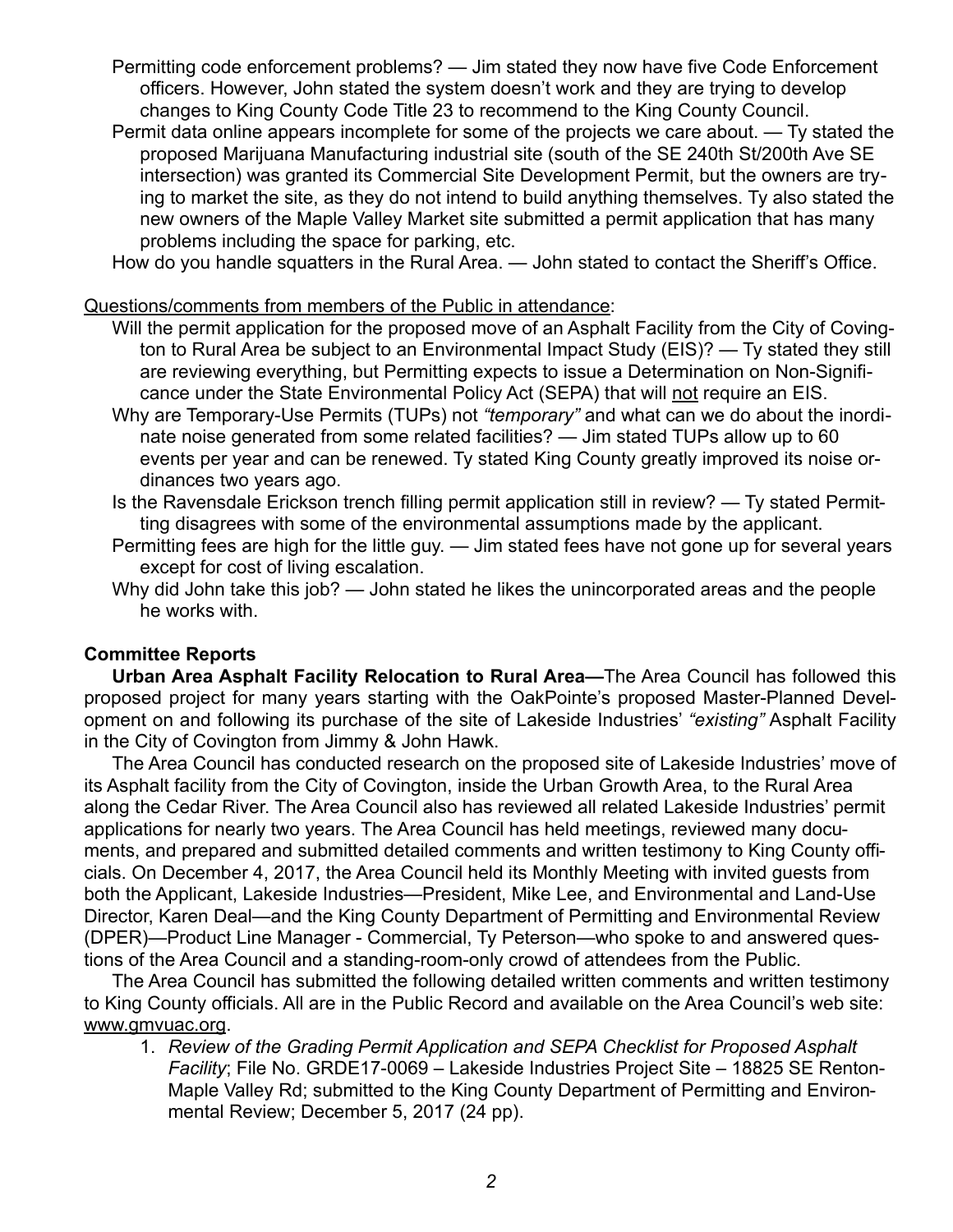- Permitting code enforcement problems? Jim stated they now have five Code Enforcement officers. However, John stated the system doesn't work and they are trying to develop changes to King County Code Title 23 to recommend to the King County Council.
- Permit data online appears incomplete for some of the projects we care about. Ty stated the proposed Marijuana Manufacturing industrial site (south of the SE 240th St/200th Ave SE intersection) was granted its Commercial Site Development Permit, but the owners are trying to market the site, as they do not intend to build anything themselves. Ty also stated the new owners of the Maple Valley Market site submitted a permit application that has many problems including the space for parking, etc.

How do you handle squatters in the Rural Area. — John stated to contact the Sheriff's Office.

Questions/comments from members of the Public in attendance:

- Will the permit application for the proposed move of an Asphalt Facility from the City of Covington to Rural Area be subject to an Environmental Impact Study (EIS)? — Ty stated they still are reviewing everything, but Permitting expects to issue a Determination on Non-Significance under the State Environmental Policy Act (SEPA) that will not require an EIS.
- Why are Temporary-Use Permits (TUPs) not *"temporary"* and what can we do about the inordinate noise generated from some related facilities? — Jim stated TUPs allow up to 60 events per year and can be renewed. Ty stated King County greatly improved its noise ordinances two years ago.
- Is the Ravensdale Erickson trench filling permit application still in review? Ty stated Permitting disagrees with some of the environmental assumptions made by the applicant.
- Permitting fees are high for the little guy. Jim stated fees have not gone up for several years except for cost of living escalation.
- Why did John take this job? John stated he likes the unincorporated areas and the people he works with.

# **Committee Reports**

**Urban Area Asphalt Facility Relocation to Rural Area—**The Area Council has followed this proposed project for many years starting with the OakPointe's proposed Master-Planned Development on and following its purchase of the site of Lakeside Industries' *"existing"* Asphalt Facility in the City of Covington from Jimmy & John Hawk.

 The Area Council has conducted research on the proposed site of Lakeside Industries' move of its Asphalt facility from the City of Covington, inside the Urban Growth Area, to the Rural Area along the Cedar River. The Area Council also has reviewed all related Lakeside Industries' permit applications for nearly two years. The Area Council has held meetings, reviewed many documents, and prepared and submitted detailed comments and written testimony to King County officials. On December 4, 2017, the Area Council held its Monthly Meeting with invited guests from both the Applicant, Lakeside Industries—President, Mike Lee, and Environmental and Land-Use Director, Karen Deal—and the King County Department of Permitting and Environmental Review (DPER)—Product Line Manager - Commercial, Ty Peterson—who spoke to and answered questions of the Area Council and a standing-room-only crowd of attendees from the Public.

 The Area Council has submitted the following detailed written comments and written testimony to King County officials. All are in the Public Record and available on the Area Council's web site: [www.gmvuac.org](http://www.gmvuac.org).

1. *Review of the Grading Permit Application and SEPA Checklist for Proposed Asphalt Facility*; File No. GRDE17-0069 – Lakeside Industries Project Site – 18825 SE Renton-Maple Valley Rd; submitted to the King County Department of Permitting and Environmental Review; December 5, 2017 (24 pp).